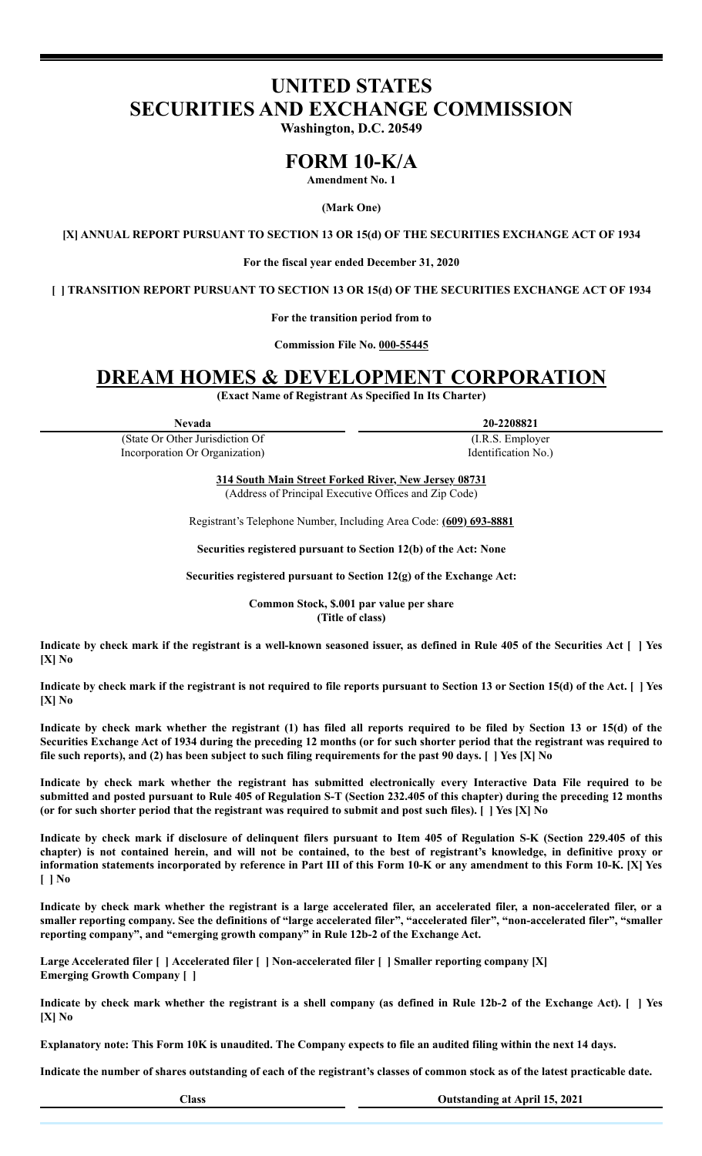# **UNITED STATES SECURITIES AND EXCHANGE COMMISSION**

**Washington, D.C. 20549**

# **FORM 10-K/A**

**Amendment No. 1**

**(Mark One)**

**[X] ANNUAL REPORT PURSUANT TO SECTION 13 OR 15(d) OF THE SECURITIES EXCHANGE ACT OF 1934**

**For the fiscal year ended December 31, 2020**

**[ ] TRANSITION REPORT PURSUANT TO SECTION 13 OR 15(d) OF THE SECURITIES EXCHANGE ACT OF 1934**

**For the transition period from to**

**Commission File No. 000-55445**

# **DREAM HOMES & DEVELOPMENT CORPORATION**

**(Exact Name of Registrant As Specified In Its Charter)**

(State Or Other Jurisdiction Of (I.R.S. Employer Incorporation Or Organization) Identification No.

**Nevada 20-2208821**

**314 South Main Street Forked River, New Jersey 08731** (Address of Principal Executive Offices and Zip Code)

Registrant's Telephone Number, Including Area Code: **(609) 693-8881**

**Securities registered pursuant to Section 12(b) of the Act: None**

**Securities registered pursuant to Section 12(g) of the Exchange Act:**

**Common Stock, \$.001 par value per share (Title of class)**

Indicate by check mark if the registrant is a well-known seasoned issuer, as defined in Rule 405 of the Securities Act [ ] Yes **[X] No**

Indicate by check mark if the registrant is not required to file reports pursuant to Section 13 or Section 15(d) of the Act. [ | Yes **[X] No**

Indicate by check mark whether the registrant (1) has filed all reports required to be filed by Section 13 or 15(d) of the Securities Exchange Act of 1934 during the preceding 12 months (or for such shorter period that the registrant was required to file such reports), and (2) has been subject to such filing requirements for the past 90 days. [ ] Yes [X] No

Indicate by check mark whether the registrant has submitted electronically every Interactive Data File required to be submitted and posted pursuant to Rule 405 of Regulation S-T (Section 232.405 of this chapter) during the preceding 12 months (or for such shorter period that the registrant was required to submit and post such files). [ ] Yes [X] No

Indicate by check mark if disclosure of delinquent filers pursuant to Item 405 of Regulation S-K (Section 229.405 of this chapter) is not contained herein, and will not be contained, to the best of registrant's knowledge, in definitive proxy or information statements incorporated by reference in Part III of this Form 10-K or any amendment to this Form 10-K. [X] Yes **[ ] No**

Indicate by check mark whether the registrant is a large accelerated filer, an accelerated filer, a non-accelerated filer, or a smaller reporting company. See the definitions of "large accelerated filer", "accelerated filer", "non-accelerated filer", "smaller **reporting company", and "emerging growth company" in Rule 12b-2 of the Exchange Act.**

**Large Accelerated filer [ ] Accelerated filer [ ] Non-accelerated filer [ ] Smaller reporting company [X] Emerging Growth Company [ ]**

Indicate by check mark whether the registrant is a shell company (as defined in Rule 12b-2 of the Exchange Act). [ ] Yes **[X] No**

Explanatory note: This Form 10K is unaudited. The Company expects to file an audited filing within the next 14 days.

Indicate the number of shares outstanding of each of the registrant's classes of common stock as of the latest practicable date.

**Class Outstanding at April 15, 2021**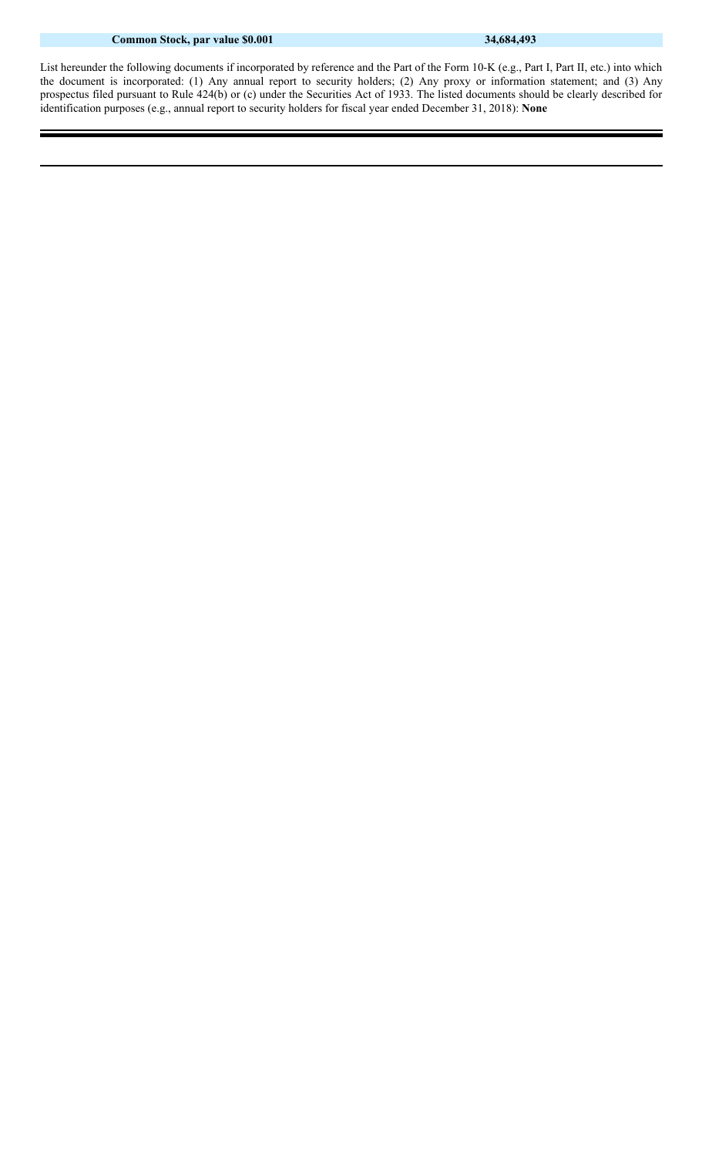# **Common Stock, par value \$0.001 34,684,493**

List hereunder the following documents if incorporated by reference and the Part of the Form 10-K (e.g., Part I, Part II, etc.) into which the document is incorporated: (1) Any annual report to security holders; (2) Any proxy or information statement; and (3) Any prospectus filed pursuant to Rule 424(b) or (c) under the Securities Act of 1933. The listed documents should be clearly described for identification purposes (e.g., annual report to security holders for fiscal year ended December 31, 2018): **None**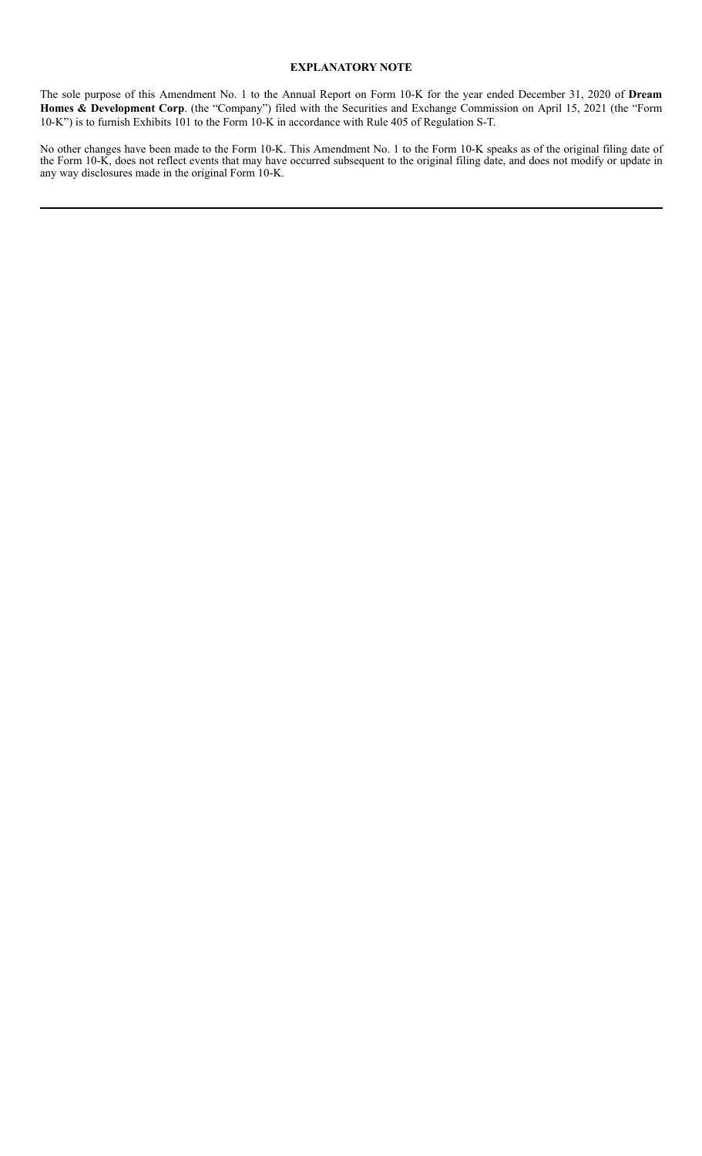### **EXPLANATORY NOTE**

The sole purpose of this Amendment No. 1 to the Annual Report on Form 10-K for the year ended December 31, 2020 of **Dream Homes & Development Corp**. (the "Company") filed with the Securities and Exchange Commission on April 15, 2021 (the "Form 10-K") is to furnish Exhibits 101 to the Form 10-K in accordance with Rule 405 of Regulation S-T.

No other changes have been made to the Form 10-K. This Amendment No. 1 to the Form 10-K speaks as of the original filing date of the Form 10-K, does not reflect events that may have occurred subsequent to the original filing date, and does not modify or update in any way disclosures made in the original Form 10-K.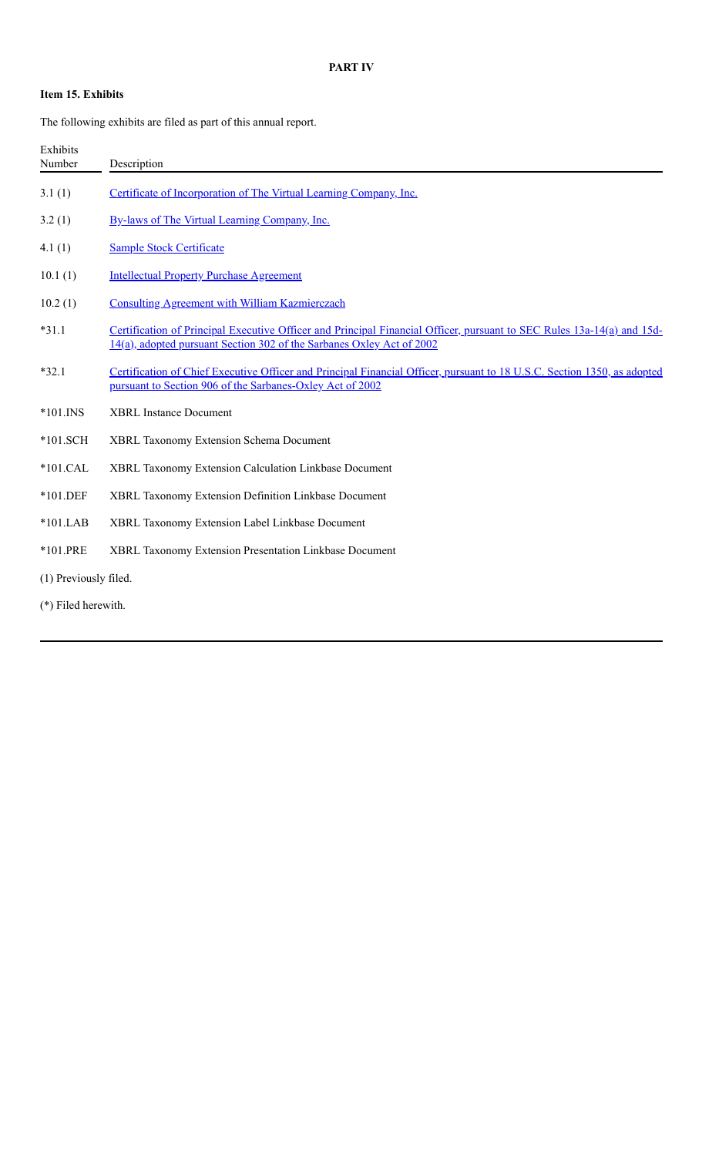# **Item 15. Exhibits**

The following exhibits are filed as part of this annual report.

| Exhibits<br>Number    | Description                                                                                                                                                                                     |
|-----------------------|-------------------------------------------------------------------------------------------------------------------------------------------------------------------------------------------------|
| 3.1(1)                | Certificate of Incorporation of The Virtual Learning Company, Inc.                                                                                                                              |
| 3.2(1)                | By-laws of The Virtual Learning Company, Inc.                                                                                                                                                   |
| 4.1 $(1)$             | <b>Sample Stock Certificate</b>                                                                                                                                                                 |
| 10.1(1)               | <b>Intellectual Property Purchase Agreement</b>                                                                                                                                                 |
| 10.2(1)               | <b>Consulting Agreement with William Kazmierczach</b>                                                                                                                                           |
| $*31.1$               | Certification of Principal Executive Officer and Principal Financial Officer, pursuant to SEC Rules 13a-14(a) and 15d-<br>14(a), adopted pursuant Section 302 of the Sarbanes Oxley Act of 2002 |
| $*32.1$               | Certification of Chief Executive Officer and Principal Financial Officer, pursuant to 18 U.S.C. Section 1350, as adopted<br>pursuant to Section 906 of the Sarbanes-Oxley Act of 2002           |
| $*101$ . INS          | <b>XBRL</b> Instance Document                                                                                                                                                                   |
| $*101$ .SCH           | XBRL Taxonomy Extension Schema Document                                                                                                                                                         |
| $*101.CAL$            | XBRL Taxonomy Extension Calculation Linkbase Document                                                                                                                                           |
| *101.DEF              | XBRL Taxonomy Extension Definition Linkbase Document                                                                                                                                            |
| $*101.LAB$            | XBRL Taxonomy Extension Label Linkbase Document                                                                                                                                                 |
| *101.PRE              | XBRL Taxonomy Extension Presentation Linkbase Document                                                                                                                                          |
| (1) Previously filed. |                                                                                                                                                                                                 |
| $(*)$ Filed herewith. |                                                                                                                                                                                                 |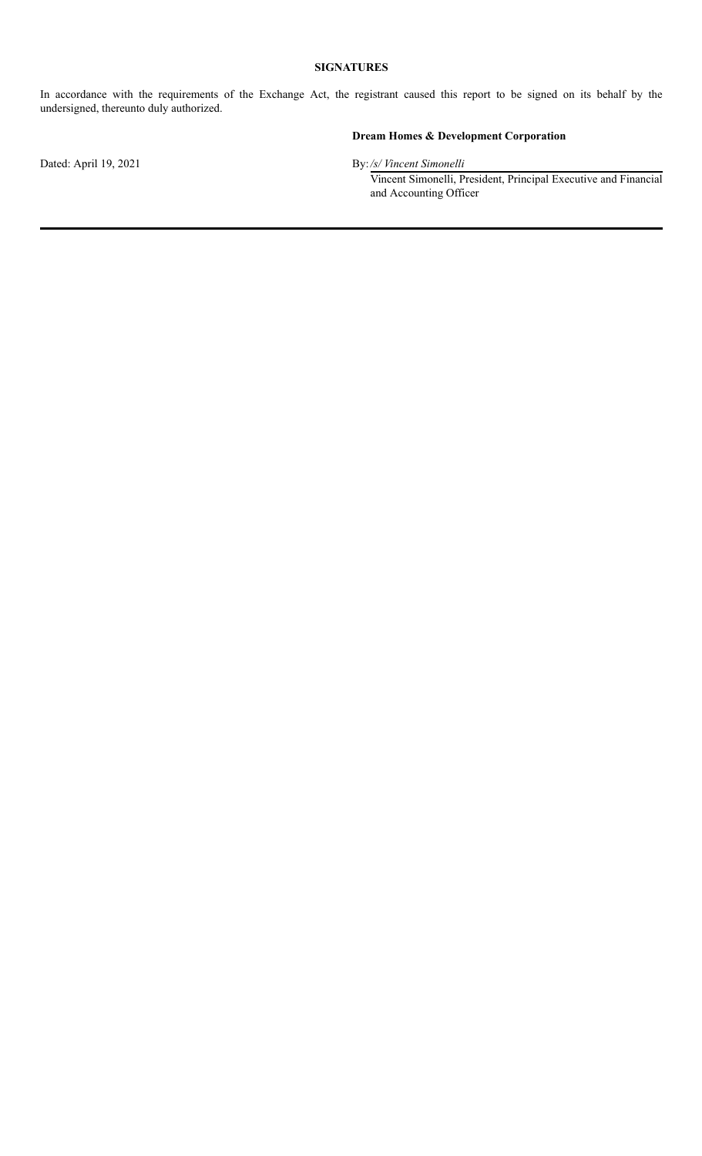## **SIGNATURES**

In accordance with the requirements of the Exchange Act, the registrant caused this report to be signed on its behalf by the undersigned, thereunto duly authorized.

## **Dream Homes & Development Corporation**

Dated: April 19, 2021 By:/s/ *Vincent Simonelli* 

Vincent Simonelli, President, Principal Executive and Financial and Accounting Officer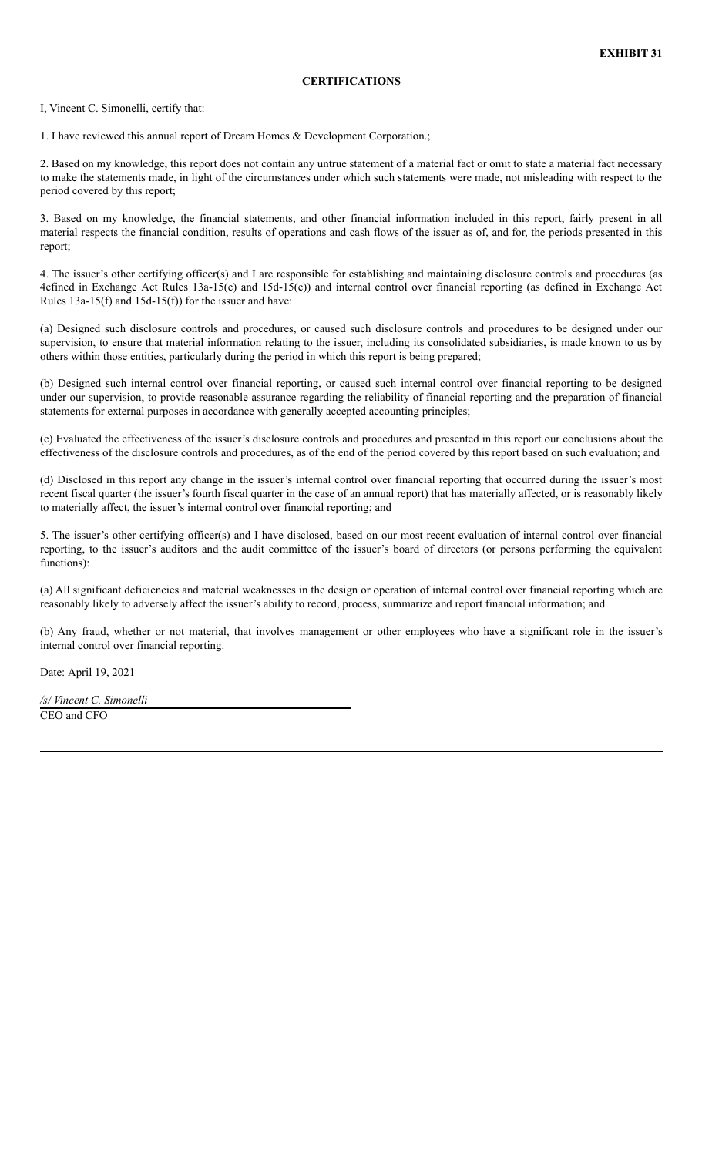### **CERTIFICATIONS**

I, Vincent C. Simonelli, certify that:

1. I have reviewed this annual report of Dream Homes & Development Corporation.;

2. Based on my knowledge, this report does not contain any untrue statement of a material fact or omit to state a material fact necessary to make the statements made, in light of the circumstances under which such statements were made, not misleading with respect to the period covered by this report;

3. Based on my knowledge, the financial statements, and other financial information included in this report, fairly present in all material respects the financial condition, results of operations and cash flows of the issuer as of, and for, the periods presented in this report;

4. The issuer's other certifying officer(s) and I are responsible for establishing and maintaining disclosure controls and procedures (as 4efined in Exchange Act Rules 13a-15(e) and 15d-15(e)) and internal control over financial reporting (as defined in Exchange Act Rules 13a-15(f) and 15d-15(f)) for the issuer and have:

(a) Designed such disclosure controls and procedures, or caused such disclosure controls and procedures to be designed under our supervision, to ensure that material information relating to the issuer, including its consolidated subsidiaries, is made known to us by others within those entities, particularly during the period in which this report is being prepared;

(b) Designed such internal control over financial reporting, or caused such internal control over financial reporting to be designed under our supervision, to provide reasonable assurance regarding the reliability of financial reporting and the preparation of financial statements for external purposes in accordance with generally accepted accounting principles;

(c) Evaluated the effectiveness of the issuer's disclosure controls and procedures and presented in this report our conclusions about the effectiveness of the disclosure controls and procedures, as of the end of the period covered by this report based on such evaluation; and

(d) Disclosed in this report any change in the issuer's internal control over financial reporting that occurred during the issuer's most recent fiscal quarter (the issuer's fourth fiscal quarter in the case of an annual report) that has materially affected, or is reasonably likely to materially affect, the issuer's internal control over financial reporting; and

5. The issuer's other certifying officer(s) and I have disclosed, based on our most recent evaluation of internal control over financial reporting, to the issuer's auditors and the audit committee of the issuer's board of directors (or persons performing the equivalent functions):

(a) All significant deficiencies and material weaknesses in the design or operation of internal control over financial reporting which are reasonably likely to adversely affect the issuer's ability to record, process, summarize and report financial information; and

(b) Any fraud, whether or not material, that involves management or other employees who have a significant role in the issuer's internal control over financial reporting.

Date: April 19, 2021

*/s/ Vincent C. Simonelli* CEO and CFO